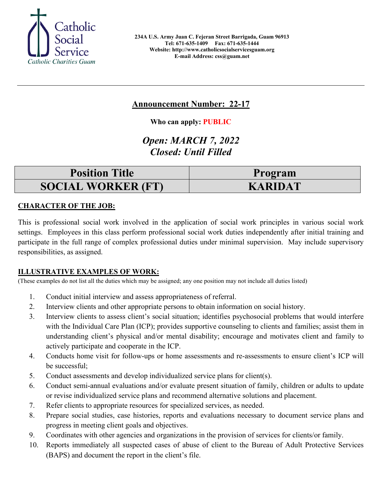

# **Announcement Number: 22-17**

**Who can apply: PUBLIC**

# *Open: MARCH 7, 2022 Closed: Until Filled*

| <b>Position Title</b>     | Program        |
|---------------------------|----------------|
| <b>SOCIAL WORKER (FT)</b> | <b>KARIDAT</b> |

## **CHARACTER OF THE JOB:**

This is professional social work involved in the application of social work principles in various social work settings. Employees in this class perform professional social work duties independently after initial training and participate in the full range of complex professional duties under minimal supervision. May include supervisory responsibilities, as assigned.

### **ILLUSTRATIVE EXAMPLES OF WORK:**

(These examples do not list all the duties which may be assigned; any one position may not include all duties listed)

- 1. Conduct initial interview and assess appropriateness of referral.
- 2. Interview clients and other appropriate persons to obtain information on social history.
- 3. Interview clients to assess client's social situation; identifies psychosocial problems that would interfere with the Individual Care Plan (ICP); provides supportive counseling to clients and families; assist them in understanding client's physical and/or mental disability; encourage and motivates client and family to actively participate and cooperate in the ICP.
- 4. Conducts home visit for follow-ups or home assessments and re-assessments to ensure client's ICP will be successful;
- 5. Conduct assessments and develop individualized service plans for client(s).
- 6. Conduct semi-annual evaluations and/or evaluate present situation of family, children or adults to update or revise individualized service plans and recommend alternative solutions and placement.
- 7. Refer clients to appropriate resources for specialized services, as needed.
- 8. Prepare social studies, case histories, reports and evaluations necessary to document service plans and progress in meeting client goals and objectives.
- 9. Coordinates with other agencies and organizations in the provision of services for clients/or family.
- 10. Reports immediately all suspected cases of abuse of client to the Bureau of Adult Protective Services (BAPS) and document the report in the client's file.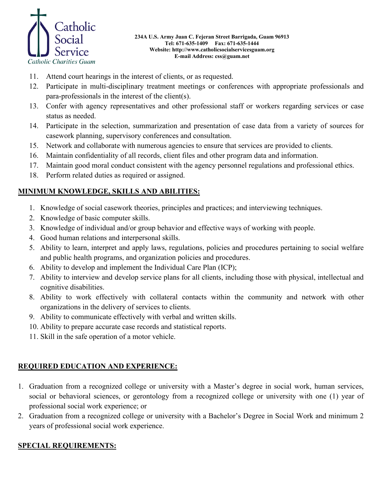

- 11. Attend court hearings in the interest of clients, or as requested.
- 12. Participate in multi-disciplinary treatment meetings or conferences with appropriate professionals and para-professionals in the interest of the client(s).
- 13. Confer with agency representatives and other professional staff or workers regarding services or case status as needed.
- 14. Participate in the selection, summarization and presentation of case data from a variety of sources for casework planning, supervisory conferences and consultation.
- 15. Network and collaborate with numerous agencies to ensure that services are provided to clients.
- 16. Maintain confidentiality of all records, client files and other program data and information.
- 17. Maintain good moral conduct consistent with the agency personnel regulations and professional ethics.
- 18. Perform related duties as required or assigned.

### **MINIMUM KNOWLEDGE, SKILLS AND ABILITIES:**

- 1. Knowledge of social casework theories, principles and practices; and interviewing techniques.
- 2. Knowledge of basic computer skills.
- 3. Knowledge of individual and/or group behavior and effective ways of working with people.
- 4. Good human relations and interpersonal skills.
- 5. Ability to learn, interpret and apply laws, regulations, policies and procedures pertaining to social welfare and public health programs, and organization policies and procedures.
- 6. Ability to develop and implement the Individual Care Plan (ICP);
- 7. Ability to interview and develop service plans for all clients, including those with physical, intellectual and cognitive disabilities.
- 8. Ability to work effectively with collateral contacts within the community and network with other organizations in the delivery of services to clients.
- 9. Ability to communicate effectively with verbal and written skills.
- 10. Ability to prepare accurate case records and statistical reports.
- 11. Skill in the safe operation of a motor vehicle.

### **REQUIRED EDUCATION AND EXPERIENCE:**

- 1. Graduation from a recognized college or university with a Master's degree in social work, human services, social or behavioral sciences, or gerontology from a recognized college or university with one (1) year of professional social work experience; or
- 2. Graduation from a recognized college or university with a Bachelor's Degree in Social Work and minimum 2 years of professional social work experience.

#### **SPECIAL REQUIREMENTS:**